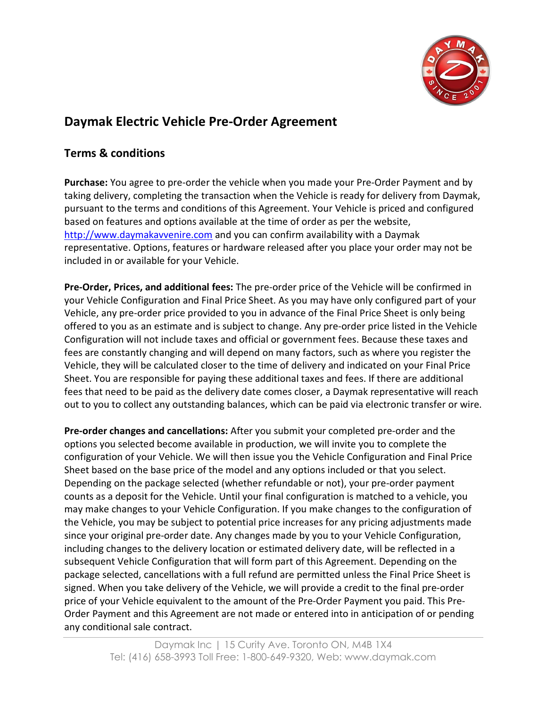

## Daymak Electric Vehicle Pre-Order Agreement

## Terms & conditions

Purchase: You agree to pre-order the vehicle when you made your Pre-Order Payment and by taking delivery, completing the transaction when the Vehicle is ready for delivery from Daymak, pursuant to the terms and conditions of this Agreement. Your Vehicle is priced and configured based on features and options available at the time of order as per the website, http://www.daymakavvenire.com and you can confirm availability with a Daymak representative. Options, features or hardware released after you place your order may not be included in or available for your Vehicle.

Pre-Order, Prices, and additional fees: The pre-order price of the Vehicle will be confirmed in your Vehicle Configuration and Final Price Sheet. As you may have only configured part of your Vehicle, any pre-order price provided to you in advance of the Final Price Sheet is only being offered to you as an estimate and is subject to change. Any pre-order price listed in the Vehicle Configuration will not include taxes and official or government fees. Because these taxes and fees are constantly changing and will depend on many factors, such as where you register the Vehicle, they will be calculated closer to the time of delivery and indicated on your Final Price Sheet. You are responsible for paying these additional taxes and fees. If there are additional fees that need to be paid as the delivery date comes closer, a Daymak representative will reach out to you to collect any outstanding balances, which can be paid via electronic transfer or wire.

Pre-order changes and cancellations: After you submit your completed pre-order and the options you selected become available in production, we will invite you to complete the configuration of your Vehicle. We will then issue you the Vehicle Configuration and Final Price Sheet based on the base price of the model and any options included or that you select. Depending on the package selected (whether refundable or not), your pre-order payment counts as a deposit for the Vehicle. Until your final configuration is matched to a vehicle, you may make changes to your Vehicle Configuration. If you make changes to the configuration of the Vehicle, you may be subject to potential price increases for any pricing adjustments made since your original pre-order date. Any changes made by you to your Vehicle Configuration, including changes to the delivery location or estimated delivery date, will be reflected in a subsequent Vehicle Configuration that will form part of this Agreement. Depending on the package selected, cancellations with a full refund are permitted unless the Final Price Sheet is signed. When you take delivery of the Vehicle, we will provide a credit to the final pre-order price of your Vehicle equivalent to the amount of the Pre-Order Payment you paid. This Pre-Order Payment and this Agreement are not made or entered into in anticipation of or pending any conditional sale contract.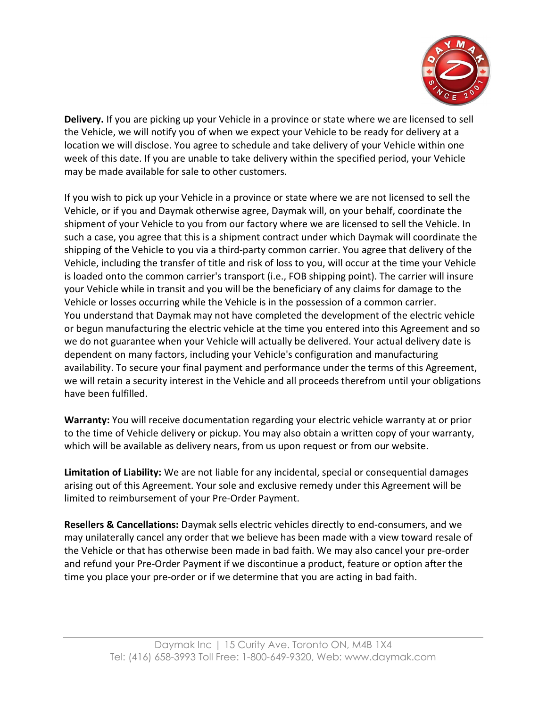

Delivery. If you are picking up your Vehicle in a province or state where we are licensed to sell the Vehicle, we will notify you of when we expect your Vehicle to be ready for delivery at a location we will disclose. You agree to schedule and take delivery of your Vehicle within one week of this date. If you are unable to take delivery within the specified period, your Vehicle may be made available for sale to other customers.

If you wish to pick up your Vehicle in a province or state where we are not licensed to sell the Vehicle, or if you and Daymak otherwise agree, Daymak will, on your behalf, coordinate the shipment of your Vehicle to you from our factory where we are licensed to sell the Vehicle. In such a case, you agree that this is a shipment contract under which Daymak will coordinate the shipping of the Vehicle to you via a third-party common carrier. You agree that delivery of the Vehicle, including the transfer of title and risk of loss to you, will occur at the time your Vehicle is loaded onto the common carrier's transport (i.e., FOB shipping point). The carrier will insure your Vehicle while in transit and you will be the beneficiary of any claims for damage to the Vehicle or losses occurring while the Vehicle is in the possession of a common carrier. You understand that Daymak may not have completed the development of the electric vehicle or begun manufacturing the electric vehicle at the time you entered into this Agreement and so we do not guarantee when your Vehicle will actually be delivered. Your actual delivery date is dependent on many factors, including your Vehicle's configuration and manufacturing availability. To secure your final payment and performance under the terms of this Agreement, we will retain a security interest in the Vehicle and all proceeds therefrom until your obligations have been fulfilled.

Warranty: You will receive documentation regarding your electric vehicle warranty at or prior to the time of Vehicle delivery or pickup. You may also obtain a written copy of your warranty, which will be available as delivery nears, from us upon request or from our website.

Limitation of Liability: We are not liable for any incidental, special or consequential damages arising out of this Agreement. Your sole and exclusive remedy under this Agreement will be limited to reimbursement of your Pre-Order Payment.

Resellers & Cancellations: Daymak sells electric vehicles directly to end-consumers, and we may unilaterally cancel any order that we believe has been made with a view toward resale of the Vehicle or that has otherwise been made in bad faith. We may also cancel your pre-order and refund your Pre-Order Payment if we discontinue a product, feature or option after the time you place your pre-order or if we determine that you are acting in bad faith.